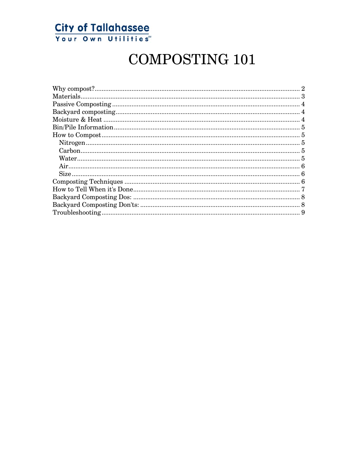

# **COMPOSTING 101**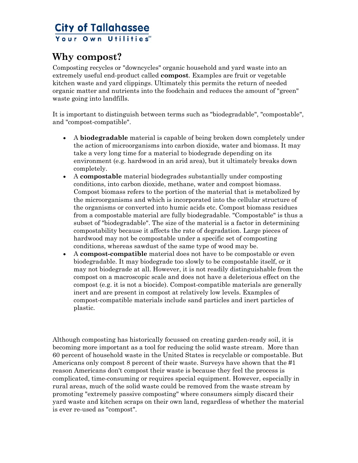#### <span id="page-1-0"></span>**Why compost?**

Composting recycles or "downcycles" organic household and yard waste into an extremely useful end-product called **compost**. Examples are fruit or vegetable kitchen waste and yard clippings. Ultimately this permits the return of needed organic matter and nutrients into the foodchain and reduces the amount of "green" waste going into landfills.

It is important to distinguish between terms such as "biodegradable", "compostable", and "compost-compatible".

- A **biodegradable** material is capable of being broken down completely under the action of microorganisms into carbon dioxide, water and biomass. It may take a very long time for a material to biodegrade depending on its environment (e.g. hardwood in an arid area), but it ultimately breaks down completely.
- A **compostable** material biodegrades substantially under composting conditions, into carbon dioxide, methane, water and compost biomass. Compost biomass refers to the portion of the material that is metabolized by the microorganisms and which is incorporated into the cellular structure of the organisms or converted into humic acids etc. Compost biomass residues from a compostable material are fully biodegradable. "Compostable" is thus a subset of "biodegradable". The size of the material is a factor in determining compostability because it affects the rate of degradation. Large pieces of hardwood may not be compostable under a specific set of composting conditions, whereas sawdust of the same type of wood may be.
- A **compost-compatible** material does not have to be compostable or even biodegradable. It may biodegrade too slowly to be compostable itself, or it may not biodegrade at all. However, it is not readily distinguishable from the compost on a macroscopic scale and does not have a deleterious effect on the compost (e.g. it is not a biocide). Compost-compatible materials are generally inert and are present in compost at relatively low levels. Examples of compost-compatible materials include sand particles and inert particles of plastic.

Although composting has historically focussed on creating garden-ready soil, it is becoming more important as a tool for reducing the solid waste stream. More than 60 percent of household waste in the United States is recyclable or compostable. But Americans only compost 8 percent of their waste. Surveys have shown that the #1 reason Americans don't compost their waste is because they feel the process is complicated, time-consuming or requires special equipment. However, especially in rural areas, much of the solid waste could be removed from the waste stream by promoting "extremely passive composting" where consumers simply discard their yard waste and kitchen scraps on their own land, regardless of whether the material is ever re-used as "compost".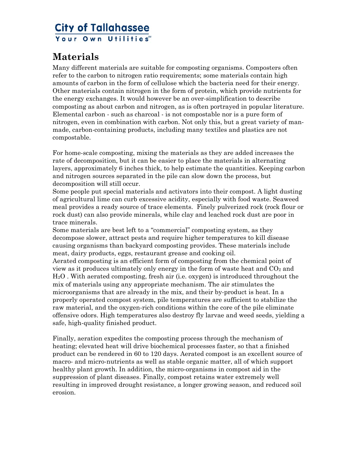#### <span id="page-2-0"></span>**Materials**

Many different materials are suitable for composting organisms. Composters often refer to the carbon to nitrogen ratio requirements; some materials contain high amounts of carbon in the form of cellulose which the bacteria need for their energy. Other materials contain nitrogen in the form of protein, which provide nutrients for the energy exchanges. It would however be an over-simplification to describe composting as about carbon and nitrogen, as is often portrayed in popular literature. Elemental carbon - such as charcoal - is not compostable nor is a pure form of nitrogen, even in combination with carbon. Not only this, but a great variety of manmade, carbon-containing products, including many textiles and plastics are not compostable.

For home-scale composting, mixing the materials as they are added increases the rate of decomposition, but it can be easier to place the materials in alternating layers, approximately 6 inches thick, to help estimate the quantities. Keeping carbon and nitrogen sources separated in the pile can slow down the process, but decomposition will still occur.

Some people put special materials and activators into their compost. A light dusting of agricultural lime can curb excessive acidity, especially with food waste. Seaweed meal provides a ready source of trace elements. Finely pulverized rock (rock flour or rock dust) can also provide minerals, while clay and leached rock dust are poor in trace minerals.

Some materials are best left to a "commercial" composting system, as they decompose slower, attract pests and require higher temperatures to kill disease causing organisms than backyard composting provides. These materials include meat, dairy products, eggs, restaurant grease and cooking oil.

Aerated composting is an efficient form of composting from the chemical point of view as it produces ultimately only energy in the form of waste heat and  $CO<sub>2</sub>$  and H2O . With aerated composting, fresh air (i.e. oxygen) is introduced throughout the mix of materials using any appropriate mechanism. The air stimulates the microorganisms that are already in the mix, and their by-product is heat. In a properly operated compost system, pile temperatures are sufficient to stabilize the raw material, and the oxygen-rich conditions within the core of the pile eliminate offensive odors. High temperatures also destroy fly larvae and weed seeds, yielding a safe, high-quality finished product.

Finally, aeration expedites the composting process through the mechanism of heating; elevated heat will drive biochemical processes faster, so that a finished product can be rendered in 60 to 120 days. Aerated compost is an excellent source of macro- and micro-nutrients as well as stable organic matter, all of which support healthy plant growth. In addition, the micro-organisms in compost aid in the suppression of plant diseases. Finally, compost retains water extremely well resulting in improved drought resistance, a longer growing season, and reduced soil erosion.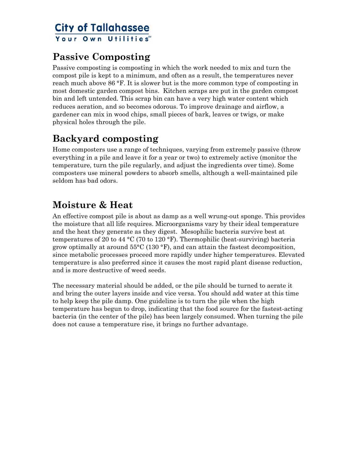#### <span id="page-3-0"></span>**Passive Composting**

Passive composting is composting in which the work needed to mix and turn the compost pile is kept to a minimum, and often as a result, the temperatures never reach much above 86 °F. It is slower but is the more common type of composting in most domestic garden compost bins. Kitchen scraps are put in the garden compost bin and left untended. This scrap bin can have a very high water content which reduces aeration, and so becomes odorous. To improve drainage and airflow, a gardener can mix in wood chips, small pieces of bark, leaves or twigs, or make physical holes through the pile.

#### **Backyard composting**

Home composters use a range of techniques, varying from extremely passive (throw everything in a pile and leave it for a year or two) to extremely active (monitor the temperature, turn the pile regularly, and adjust the ingredients over time). Some composters use mineral powders to absorb smells, although a well-maintained pile seldom has bad odors.

## **Moisture & Heat**

An effective compost pile is about as damp as a well wrung-out sponge. This provides the moisture that all life requires. Microorganisms vary by their ideal temperature and the heat they generate as they digest. Mesophilic bacteria survive best at temperatures of 20 to 44 °C (70 to 120 °F). Thermophilic (heat-surviving) bacteria grow optimally at around  $55^{\circ}$ C (130  $^{\circ}$ F), and can attain the fastest decomposition, since metabolic processes proceed more rapidly under higher temperatures. Elevated temperature is also preferred since it causes the most rapid plant disease reduction, and is more destructive of weed seeds.

The necessary material should be added, or the pile should be turned to aerate it and bring the outer layers inside and vice versa. You should add water at this time to help keep the pile damp. One guideline is to turn the pile when the high temperature has begun to drop, indicating that the food source for the fastest-acting bacteria (in the center of the pile) has been largely consumed. When turning the pile does not cause a temperature rise, it brings no further advantage.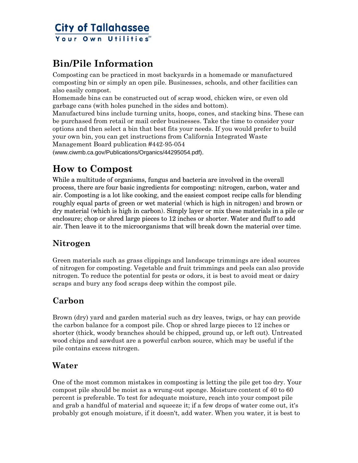#### <span id="page-4-0"></span>**Bin/Pile Information**

Composting can be practiced in most backyards in a homemade or manufactured composting bin or simply an open pile. Businesses, schools, and other facilities can also easily compost.

Homemade bins can be constructed out of scrap wood, chicken wire, or even old garbage cans (with holes punched in the sides and bottom).

Manufactured bins include turning units, hoops, cones, and stacking bins. These can be purchased from retail or mail order businesses. Take the time to consider your options and then select a bin that best fits your needs. If you would prefer to build your own bin, you can get instructions from California Integrated Waste Management Board publication #442-95-054

(www.ciwmb.ca.gov/Publications/Organics/44295054.pdf).

#### **How to Compost**

While a multitude of organisms, fungus and bacteria are involved in the overall process, there are four basic ingredients for composting: nitrogen, carbon, water and air. Composting is a lot like cooking, and the easiest compost recipe calls for blending roughly equal parts of green or wet material (which is high in nitrogen) and brown or dry material (which is high in carbon). Simply layer or mix these materials in a pile or enclosure; chop or shred large pieces to 12 inches or shorter. Water and fluff to add air. Then leave it to the microorganisms that will break down the material over time.

#### **Nitrogen**

Green materials such as grass clippings and landscape trimmings are ideal sources of nitrogen for composting. Vegetable and fruit trimmings and peels can also provide nitrogen. To reduce the potential for pests or odors, it is best to avoid meat or dairy scraps and bury any food scraps deep within the compost pile.

#### **Carbon**

Brown (dry) yard and garden material such as dry leaves, twigs, or hay can provide the carbon balance for a compost pile. Chop or shred large pieces to 12 inches or shorter (thick, woody branches should be chipped, ground up, or left out). Untreated wood chips and sawdust are a powerful carbon source, which may be useful if the pile contains excess nitrogen.

#### **Water**

One of the most common mistakes in composting is letting the pile get too dry. Your compost pile should be moist as a wrung-out sponge. Moisture content of 40 to 60 percent is preferable. To test for adequate moisture, reach into your compost pile and grab a handful of material and squeeze it; if a few drops of water come out, it's probably got enough moisture, if it doesn't, add water. When you water, it is best to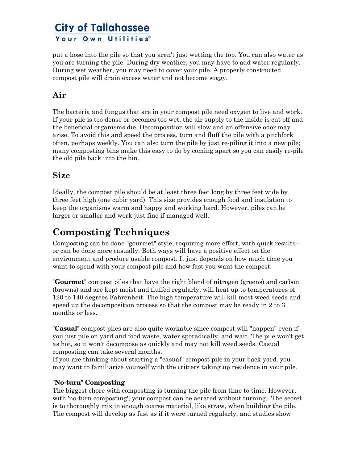<span id="page-5-0"></span>put a hose into the pile so that you aren't just wetting the top. You can also water as you are turning the pile. During dry weather, you may have to add water regularly. During wet weather, you may need to cover your pile. A properly constructed compost pile will drain excess water and not become soggy.

#### **Air**

The bacteria and fungus that are in your compost pile need oxygen to live and work. If your pile is too dense or becomes too wet, the air supply to the inside is cut off and the beneficial organisms die. Decomposition will slow and an offensive odor may arise. To avoid this and speed the process, turn and fluff the pile with a pitchfork often, perhaps weekly. You can also turn the pile by just re-piling it into a new pile; many composting bins make this easy to do by coming apart so you can easily re-pile the old pile back into the bin.

#### **Size**

Ideally, the compost pile should be at least three feet long by three feet wide by three feet high (one cubic yard). This size provides enough food and insulation to keep the organisms warm and happy and working hard. However, piles can be larger or smaller and work just fine if managed well.

#### **Composting Techniques**

Composting can be done "gourmet" style, requiring more effort, with quick results- or can be done more casually. Both ways will have a positive effect on the environment and produce usable compost. It just depends on how much time you want to spend with your compost pile and how fast you want the compost.

**"Gourmet"** compost piles that have the right blend of nitrogen (greens) and carbon (browns) and are kept moist and fluffed regularly, will heat up to temperatures of 120 to 140 degrees Fahrenheit. The high temperature will kill most weed seeds and speed up the decomposition process so that the compost may be ready in 2 to 3 months or less.

**"Casual"** compost piles are also quite workable since compost will "happen" even if you just pile on yard and food waste, water sporadically, and wait. The pile won't get as hot, so it won't decompose as quickly and may not kill weed seeds. Casual composting can take several months.

If you are thinking about starting a "casual" compost pile in your back yard, you may want to familiarize yourself with the critters taking up residence in your pile.

#### **"No-turn" Composting**

The biggest chore with composting is turning the pile from time to time. However, with 'no-turn composting', your compost can be aerated without turning. The secret is to thoroughly mix in enough coarse material, like straw, when building the pile. The compost will develop as fast as if it were turned regularly, and studies show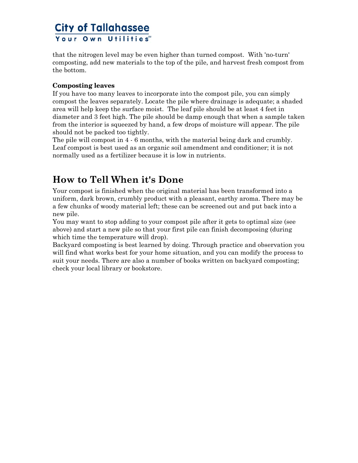<span id="page-6-0"></span>that the nitrogen level may be even higher than turned compost. With 'no-turn' composting, add new materials to the top of the pile, and harvest fresh compost from the bottom.

#### **Composting leaves**

If you have too many leaves to incorporate into the compost pile, you can simply compost the leaves separately. Locate the pile where drainage is adequate; a shaded area will help keep the surface moist. The leaf pile should be at least 4 feet in diameter and 3 feet high. The pile should be damp enough that when a sample taken from the interior is squeezed by hand, a few drops of moisture will appear. The pile should not be packed too tightly.

The pile will compost in 4 - 6 months, with the material being dark and crumbly. Leaf compost is best used as an organic soil amendment and conditioner; it is not normally used as a fertilizer because it is low in nutrients.

#### **How to Tell When it's Done**

Your compost is finished when the original material has been transformed into a uniform, dark brown, crumbly product with a pleasant, earthy aroma. There may be a few chunks of woody material left; these can be screened out and put back into a new pile.

You may want to stop adding to your compost pile after it gets to optimal size (see above) and start a new pile so that your first pile can finish decomposing (during which time the temperature will drop).

Backyard composting is best learned by doing. Through practice and observation you will find what works best for your home situation, and you can modify the process to suit your needs. There are also a number of books written on backyard composting; check your local library or bookstore.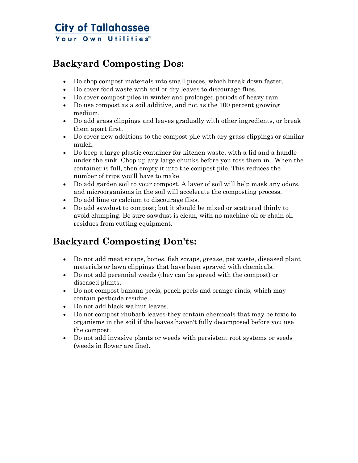#### <span id="page-7-0"></span>**Backyard Composting Dos:**

- Do chop compost materials into small pieces, which break down faster.
- Do cover food waste with soil or dry leaves to discourage flies.
- Do cover compost piles in winter and prolonged periods of heavy rain.
- Do use compost as a soil additive, and not as the 100 percent growing medium.
- Do add grass clippings and leaves gradually with other ingredients, or break them apart first.
- Do cover new additions to the compost pile with dry grass clippings or similar mulch.
- Do keep a large plastic container for kitchen waste, with a lid and a handle under the sink. Chop up any large chunks before you toss them in. When the container is full, then empty it into the compost pile. This reduces the number of trips you'll have to make.
- Do add garden soil to your compost. A layer of soil will help mask any odors, and microorganisms in the soil will accelerate the composting process.
- Do add lime or calcium to discourage flies.
- Do add sawdust to compost; but it should be mixed or scattered thinly to avoid clumping. Be sure sawdust is clean, with no machine oil or chain oil residues from cutting equipment.

## **Backyard Composting Don'ts:**

- Do not add meat scraps, bones, fish scraps, grease, pet waste, diseased plant materials or lawn clippings that have been sprayed with chemicals.
- Do not add perennial weeds (they can be spread with the compost) or diseased plants.
- Do not compost banana peels, peach peels and orange rinds, which may contain pesticide residue.
- Do not add black walnut leaves.
- Do not compost rhubarb leaves-they contain chemicals that may be toxic to organisms in the soil if the leaves haven't fully decomposed before you use the compost.
- Do not add invasive plants or weeds with persistent root systems or seeds (weeds in flower are fine).